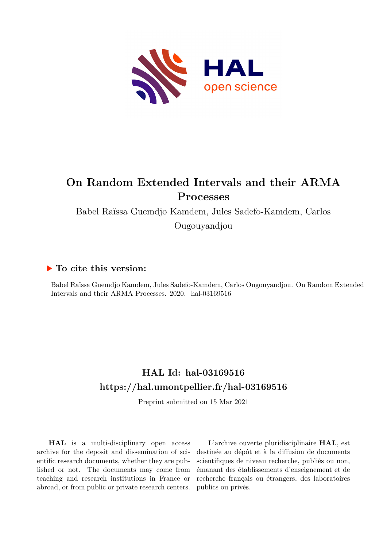

# **On Random Extended Intervals and their ARMA Processes**

Babel Raïssa Guemdjo Kamdem, Jules Sadefo-Kamdem, Carlos Ougouyandjou

## **To cite this version:**

Babel Raïssa Guemdjo Kamdem, Jules Sadefo-Kamdem, Carlos Ougouyandjou. On Random Extended Intervals and their ARMA Processes. 2020. hal-03169516

# **HAL Id: hal-03169516 <https://hal.umontpellier.fr/hal-03169516>**

Preprint submitted on 15 Mar 2021

**HAL** is a multi-disciplinary open access archive for the deposit and dissemination of scientific research documents, whether they are published or not. The documents may come from teaching and research institutions in France or abroad, or from public or private research centers.

L'archive ouverte pluridisciplinaire **HAL**, est destinée au dépôt et à la diffusion de documents scientifiques de niveau recherche, publiés ou non, émanant des établissements d'enseignement et de recherche français ou étrangers, des laboratoires publics ou privés.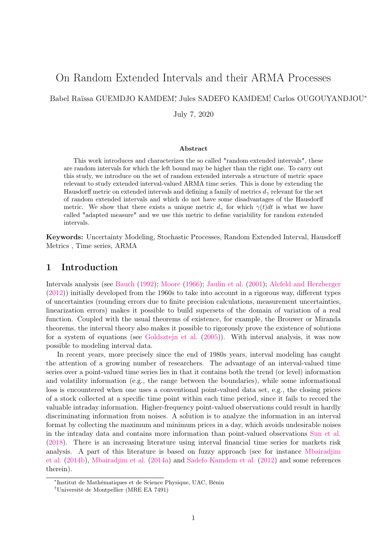# On Random Extended Intervals and their ARMA Processes

Babel Raïssa GUEMDJO KAMDEM<sup>\*</sup>, Jules SADEFO KAMDEM<sup>†</sup>, Carlos OUGOUYANDJOU<sup>\*</sup>

July 7, 2020

#### Abstract

This work introduces and characterizes the so called "random extended intervals", these are random intervals for which the left bound may be higher than the right one. To carry out this study, we introduce on the set of random extended intervals a structure of metric space relevant to study extended interval-valued ARMA time series. This is done by extending the Hausdorff metric on extended intervals and defining a family of metrics  $d_{\gamma}$  relevant for the set of random extended intervals and which do not have some disadvantages of the Hausdorff metric. We show that there exists a unique metric  $d_{\gamma}$  for which  $\gamma(t)dt$  is what we have called "adapted measure" and we use this metric to define variability for random extended intervals.

Keywords: Uncertainty Modeling, Stochastic Processes, Random Extended Interval, Hausdorff Metrics , Time series, ARMA

## 1 Introduction

Intervals analysis (see Bauch (1992); Moore (1966); Jaulin et al. (2001); Alefeld and Herzberger (2012)) initially developed from the 1960s to take into account in a rigorous way, different types of uncertainties (rounding errors due to finite precision calculations, measurement uncertainties, linearization errors) makes it possible to build supersets of the domain of variation of a real function. Coupled with the usual theorems of existence, for example, the Brouwer or Miranda theorems, the interval theory also makes it possible to rigorously prove the existence of solutions for a system of equations (see Goldsztejn et al. (2005)). With interval analysis, it was now possible to modeling interval data.

In recent years, more precisely since the end of 1980s years, interval modeling has caught the attention of a growing number of researchers. The advantage of an interval-valued time series over a point-valued time series lies in that it contains both the trend (or level) information and volatility information (e.g., the range between the boundaries), while some informational loss is encountered when one uses a conventional point-valued data set, e.g., the closing prices of a stock collected at a specific time point within each time period, since it fails to record the valuable intraday information. Higher-frequency point-valued observations could result in hardly discriminating information from noises. A solution is to analyze the information in an interval format by collecting the maximum and minimum prices in a day, which avoids undesirable noises in the intraday data and contains more information than point-valued observations Sun et al. (2018). There is an increasing literature using interval financial time series for markets risk analysis. A part of this literature is based on fuzzy approach (see for instance Mbairadjim et al. (2014b), Mbairadjim et al. (2014a) and Sadefo Kamdem et al. (2012) and some references therein).

<sup>∗</sup> Institut de Mathématiques et de Science Physique, UAC, Bénin

<sup>†</sup>Université de Montpellier (MRE EA 7491)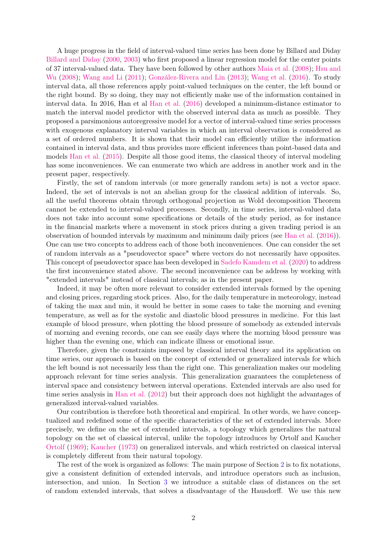A huge progress in the field of interval-valued time series has been done by Billard and Diday Billard and Diday (2000, 2003) who first proposed a linear regression model for the center points of 37 interval-valued data. They have been followed by other authors Maia et al. (2008); Hsu and Wu (2008); Wang and Li (2011); González-Rivera and Lin (2013); Wang et al. (2016). To study interval data, all those references apply point-valued techniques on the center, the left bound or the right bound. By so doing, they may not efficiently make use of the information contained in interval data. In 2016, Han et al Han et al. (2016) developed a minimum-distance estimator to match the interval model predictor with the observed interval data as much as possible. They proposed a parsimonious autoregressive model for a vector of interval-valued time series processes with exogenous explanatory interval variables in which an interval observation is considered as a set of ordered numbers. It is shown that their model can efficiently utilize the information contained in interval data, and thus provides more efficient inferences than point-based data and models Han et al. (2015). Despite all those good items, the classical theory of interval modeling has some inconveniences. We can enumerate two which are address in another work and in the present paper, respectively.

Firstly, the set of random intervals (or more generally random sets) is not a vector space. Indeed, the set of intervals is not an abelian group for the classical addition of intervals. So, all the useful theorems obtain through orthogonal projection as Wold decomposition Theorem cannot be extended to interval-valued processes. Secondly, in time series, interval-valued data does not take into account some specifications or details of the study period, as for instance in the financial markets where a movement in stock prices during a given trading period is an observation of bounded intervals by maximum and minimum daily prices (see Han et al. (2016)). One can use two concepts to address each of those both inconveniences. One can consider the set of random intervals as a "pseudovector space" where vectors do not necessarily have opposites. This concept of pseudovector space has been developed in Sadefo Kamdem et al. (2020) to address the first inconvenience stated above. The second inconvenience can be address by working with "extended intervals" instead of classical intervals; as in the present paper.

Indeed, it may be often more relevant to consider extended intervals formed by the opening and closing prices, regarding stock prices. Also, for the daily temperature in meteorology, instead of taking the max and min, it would be better in some cases to take the morning and evening temperature, as well as for the systolic and diastolic blood pressures in medicine. For this last example of blood pressure, when plotting the blood pressure of somebody as extended intervals of morning and evening records, one can see easily days where the morning blood pressure was higher than the evening one, which can indicate illness or emotional issue.

Therefore, given the constraints imposed by classical interval theory and its application on time series, our approach is based on the concept of extended or generalized intervals for which the left bound is not necessarily less than the right one. This generalization makes our modeling approach relevant for time series analysis. This generalization guarantees the completeness of interval space and consistency between interval operations. Extended intervals are also used for time series analysis in Han et al. (2012) but their approach does not highlight the advantages of generalized interval-valued variables.

Our contribution is therefore both theoretical and empirical. In other words, we have conceptualized and redefined some of the specific characteristics of the set of extended intervals. More precisely, we define on the set of extended intervals, a topology which generalizes the natural topology on the set of classical interval, unlike the topology introduces by Ortolf and Kaucher Ortolf (1969); Kaucher (1973) on generalized intervals, and which restricted on classical interval is completely different from their natural topology.

The rest of the work is organized as follows: The main purpose of Section 2 is to fix notations, give a consistent definition of extended intervals, and introduce operators such as inclusion, intersection, and union. In Section 3 we introduce a suitable class of distances on the set of random extended intervals, that solves a disadvantage of the Hausdorff. We use this new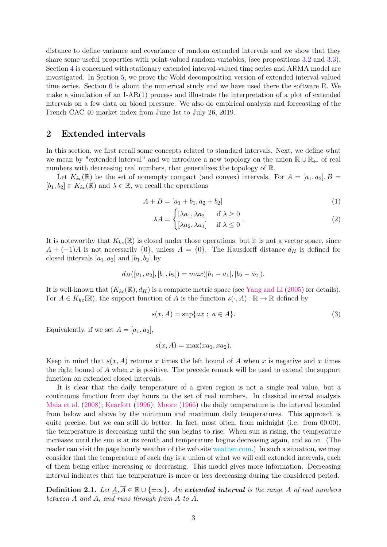distance to define variance and covariance of random extended intervals and we show that they share some useful properties with point-valued random variables, (see propositions 3.2 and 3.3). Section 4 is concerned with stationary extended interval-valued time series and ARMA model are investigated. In Section 5, we prove the Wold decomposition version of extended interval-valued time series. Section 6 is about the numerical study and we have used there the software R. We make a simulation of an I-AR $(1)$  process and illustrate the interpretation of a plot of extended intervals on a few data on blood pressure. We also do empirical analysis and forecasting of the French CAC 40 market index from June 1st to July 26, 2019.

## 2 Extended intervals

In this section, we first recall some concepts related to standard intervals. Next, we define what we mean by "extended interval" and we introduce a new topology on the union R ∪ R<sup>←</sup> of real numbers with decreasing real numbers, that generalizes the topology of R.

Let  $K_{kc}(\mathbb{R})$  be the set of nonempty compact (and convex) intervals. For  $A = [a_1, a_2], B =$  $[b_1, b_2] \in K_{kc}(\mathbb{R})$  and  $\lambda \in \mathbb{R}$ , we recall the operations

$$
A + B = [a_1 + b_1, a_2 + b_2]
$$
 (1)

$$
\lambda A = \begin{cases} [\lambda a_1, \lambda a_2] & \text{if } \lambda \ge 0 \\ [\lambda a_2, \lambda a_1] & \text{if } \lambda \le 0 \end{cases}
$$
 (2)

It is noteworthy that  $K_{kc}(\mathbb{R})$  is closed under those operations, but it is not a vector space, since  $A + (-1)A$  is not necessarily  $\{0\}$ , unless  $A = \{0\}$ . The Hausdorff distance  $d_H$  is defined for closed intervals  $[a_1, a_2]$  and  $[b_1, b_2]$  by

$$
d_H([a_1, a_2], [b_1, b_2]) = max(|b_1 - a_1|, |b_2 - a_2|).
$$

It is well-known that  $(K_{kc}(\mathbb{R}), d_H)$  is a complete metric space (see Yang and Li (2005) for details). For  $A \in K_{kc}(\mathbb{R})$ , the support function of A is the function  $s(\cdot, A) : \mathbb{R} \to \mathbb{R}$  defined by

$$
s(x, A) = \sup\{ax \; ; \; a \in A\}.\tag{3}
$$

Equivalently, if we set  $A = [a_1, a_2]$ ,

$$
s(x, A) = \max(xa_1, xa_2).
$$

Keep in mind that  $s(x, A)$  returns x times the left bound of A when x is negative and x times the right bound of A when  $x$  is positive. The precede remark will be used to extend the support function on extended closed intervals.

It is clear that the daily temperature of a given region is not a single real value, but a continuous function from day hours to the set of real numbers. In classical interval analysis Maia et al. (2008); Kearfott (1996); Moore (1966) the daily temperature is the interval bounded from below and above by the minimum and maximum daily temperatures. This approach is quite precise, but we can still do better. In fact, most often, from midnight (i.e. from 00:00), the temperature is decreasing until the sun begins to rise. When sun is rising, the temperature increases until the sun is at its zenith and temperature begins decreasing again, and so on. (The reader can visit the page hourly weather of the web site [weather.com.](https://weather.com/weather/hourbyhour/l/c1535f42ba5fc52449e416514aca69b3b2a16aae4b89abd6c92e662f7a89c02f)) In such a situation, we may consider that the temperature of each day is a union of what we will call extended intervals, each of them being either increasing or decreasing. This model gives more information. Decreasing interval indicates that the temperature is more or less decreasing during the considered period.

**Definition 2.1.** Let  $A, \overline{A} \in \mathbb{R} \cup \{\pm \infty\}$ . An extended interval is the range A of real numbers between  $\underline{A}$  and  $\overline{A}$ , and runs through from  $\underline{A}$  to  $\overline{A}$ .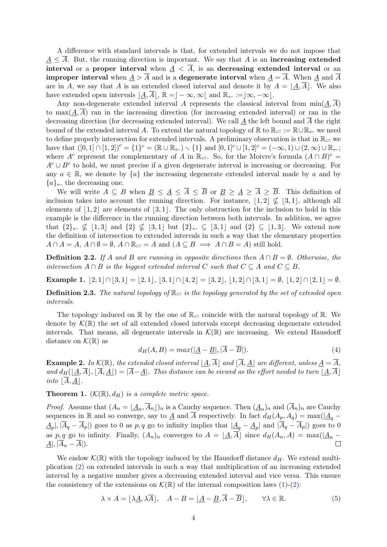A difference with standard intervals is that, for extended intervals we do not impose that  $A \leq \overline{A}$ . But, the running direction is important. We say that A is an increasing extended interval or a proper interval when  $A < \overline{A}$ , is an decreasing extended interval or an **improper interval** when  $\underline{A} > \overline{A}$  and is a degenerate interval when  $\underline{A} = \overline{A}$ . When  $\underline{A}$  and  $\overline{A}$ are in A, we say that A is an extended closed interval and denote it by  $A = \underline{A}, \overline{A}$ . We also have extended open intervals  $|\underline{A}, \overline{A}|, \mathbb{R} = |-\infty, \infty|$  and  $\mathbb{R}_{\leftarrow} := |\infty, -\infty|$ .

Any non-degenerate extended interval A represents the classical interval from  $\min(\underline{A}, \overline{A})$ to  $\max(A, \overline{A})$  ran in the increasing direction (for increasing extended interval) or ran in the decreasing direction (for decreasing extended interval). We call A the left bound and  $\overline{A}$  the right bound of the extended interval A. To extend the natural topology of R to  $\mathbb{R}_{\geq} := \mathbb{R} \cup \mathbb{R}_{\leftarrow}$  we need to define properly intersection for extended intervals. A preliminary observation is that in  $\mathbb{R}_{\geq 0}$  we have that  $([0,1] \cap [1,2])^c = \{1\}^c = (\mathbb{R} \cup \mathbb{R}_{\leftarrow}) \setminus \{1\}$  and  $[0,1]^c \cup [1,2]^c = (-\infty,1) \cup (2,\infty) \cup \mathbb{R}_{\leftarrow};$ where A<sup>c</sup> represent the complementary of A in  $\mathbb{R}_{\rightleftarrows}$ . So, for the Moivre's formula  $(A \cap B)^c$  $A<sup>c</sup> \cup B<sup>c</sup>$  to hold, we must precise if a given degenerate interval is increasing or decreasing. For any  $a \in \mathbb{R}$ , we denote by  $\{a\}$  the increasing degenerate extended interval made by a and by  ${a} \in \mathbb{R}$  the decreasing one.

We will write  $A \subseteq B$  when  $\underline{B} \leq \underline{A} \leq \overline{A} \leq \overline{B}$  or  $\underline{B} \geq \underline{A} \geq \overline{A} \geq \overline{B}$ . This definition of inclusion takes into account the running direction. For instance,  $|1, 2| \nsubseteq |3, 1|$ , although all elements of  $\vert 1, 2\vert$  are elements of  $\vert 3, 1\vert$ . The only obstruction for the inclusion to hold in this example is the difference in the running direction between both intervals. In addition, we agree that  $\{2\}\leftarrow \nsubseteq [1, 3]$  and  $\{2\}\nsubseteq [3, 1]$  but  $\{2\}\leftarrow \subseteq [3, 1]$  and  $\{2\}\subseteq [1, 3]$ . We extend now the definition of intersection to extended intervals in such a way that the elementary properties  $A \cap A = A$ ,  $A \cap \emptyset = \emptyset$ ,  $A \cap \mathbb{R}_{\rightleftarrows} = A$  and  $(A \subseteq B \implies A \cap B = A)$  still hold.

**Definition 2.2.** If A and B are running in opposite directions then  $A \cap B = \emptyset$ . Otherwise, the intersection  $A \cap B$  is the biggest extended interval C such that  $C \subseteq A$  and  $C \subseteq B$ .

Example 1.  $|2, 1| \cap |3, 1| = |2, 1|, |3, 1| \cap |4, 2| = |3, 2|, |1, 2| \cap |3, 1| = \emptyset, |1, 2| \cap |2, 1| = \emptyset.$ 

**Definition 2.3.** The natural topology of  $\mathbb{R}_{\geq 0}$  is the topology generated by the set of extended open intervals.

The topology induced on  $\mathbb R$  by the one of  $\mathbb R_{\rightleftarrows}$  coincide with the natural topology of  $\mathbb R$ . We denote by  $\mathcal{K}(\mathbb{R})$  the set of all extended closed intervals except decreasing degenerate extended intervals. That means, all degenerate intervals in  $\mathcal{K}(\mathbb{R})$  are increasing. We extend Hausdorff distance on  $\mathcal{K}(\mathbb{R})$  as

$$
d_H(A, B) = max(|\underline{A} - \underline{B}|, |\overline{A} - \overline{B}|). \tag{4}
$$

**Example 2.** In  $\mathcal{K}(\mathbb{R})$ , the extended closed interval  $\left|\underline{A}, \overline{A}\right|$  and  $\left|\overline{A}, \underline{A}\right|$  are different, unless  $\underline{A} = \overline{A}$ , and  $d_H(\underline{A}, \overline{A}], [\overline{A}, \underline{A}]) = |\overline{A} - \underline{A}|$ . This distance can be viewed as the effort needed to turn  $\underline{A}, \overline{A}$ . into  $|\overline{A}, A|$ .

**Theorem 1.**  $(K(\mathbb{R}), d_H)$  is a complete metric space.

*Proof.* Assume that  $(A_n = \underline{A_n}, A_n)$ <sub>n</sub> is a Cauchy sequence. Then  $(\underline{A_n})_n$  and  $(A_n)_n$  are Cauchy sequences in R and so converge, say to  $\underline{A}$  and  $\overline{A}$  respectively. In fact  $d_H(A_p, A_q) = \max(|\underline{A}_q \underline{A}_p$ ,  $|\overline{A}_q - \overline{A}_p|$  goes to 0 as p, q go to infinity implies that  $|\underline{A}_q - \underline{A}_p|$  and  $|\overline{A}_q - \overline{A}_p|$  goes to 0 as p, q go to infinity. Finally,  $(A_n)_n$  converges to  $A = \underline{A}, \overline{A}$  since  $d_H(A_n, A) = \max(\underline{A}_n - A\underline{A}_n)$ .  $A|, |\overline{A}_n - \overline{A}|).$ 

We endow  $\mathcal{K}(\mathbb{R})$  with the topology induced by the Hausdorff distance  $d_H$ . We extend multiplication (2) on extended intervals in such a way that multiplication of an increasing extended interval by a negative number gives a decreasing extended interval and vice versa. This ensure the consistency of the extensions on  $\mathcal{K}(\mathbb{R})$  of the internal composition laws (1)-(2):

$$
\lambda \times A = [\lambda \underline{A}, \lambda \overline{A}], \quad A - B = [\underline{A} - \underline{B}, \overline{A} - \overline{B}], \qquad \forall \lambda \in \mathbb{R}.
$$
 (5)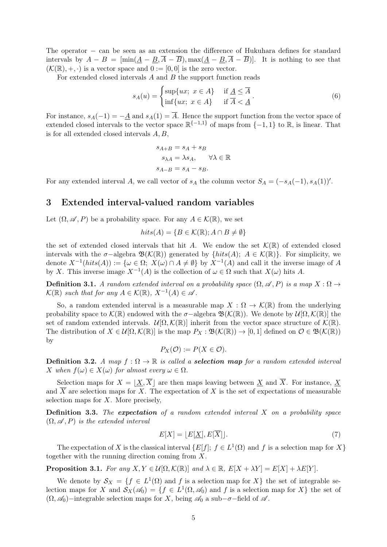The operator − can be seen as an extension the difference of Hukuhara defines for standard intervals by  $A - B = [\min(\underline{A} - \underline{B}, \overline{A} - \overline{B}), \max(\underline{A} - \underline{B}, \overline{A} - \overline{B})]$ . It is nothing to see that  $(K(\mathbb{R}), +, \cdot)$  is a vector space and  $0 := [0, 0]$  is the zero vector.

For extended closed intervals A and B the support function reads

$$
s_A(u) = \begin{cases} \sup\{ux; \ x \in A\} & \text{if } \underline{A} \le \overline{A} \\ \inf\{ux; \ x \in A\} & \text{if } \overline{A} < \underline{A} \end{cases} \tag{6}
$$

For instance,  $s_A(-1) = -\underline{A}$  and  $s_A(1) = \overline{A}$ . Hence the support function from the vector space of extended closed intervals to the vector space  $\mathbb{R}^{\{-1,1\}}$  of maps from  $\{-1,1\}$  to  $\mathbb{R}$ , is linear. That is for all extended closed intervals A, B,

$$
s_{A+B} = s_A + s_B
$$
  
\n
$$
s_{\lambda A} = \lambda s_A, \quad \forall \lambda \in \mathbb{R}
$$
  
\n
$$
s_{A-B} = s_A - s_B.
$$

For any extended interval A, we call vector of  $s_A$  the column vector  $S_A = (-s_A(-1), s_A(1))'$ .

## 3 Extended interval-valued random variables

Let  $(\Omega, \mathscr{A}, P)$  be a probability space. For any  $A \in \mathcal{K}(\mathbb{R})$ , we set

$$
hits(A) = \{ B \in \mathcal{K}(\mathbb{R}); A \cap B \neq \emptyset \}
$$

the set of extended closed intervals that hit A. We endow the set  $\mathcal{K}(\mathbb{R})$  of extended closed intervals with the  $\sigma$ -algebra  $\mathfrak{B}(\mathcal{K}(\mathbb{R}))$  generated by  $\{hits(A); A \in \mathcal{K}(\mathbb{R})\}$ . For simplicity, we denote  $X^{-1}(hits(A)) := \{ \omega \in \Omega; X(\omega) \cap A \neq \emptyset \}$  by  $X^{-1}(A)$  and call it the inverse image of A by X. This inverse image  $X^{-1}(A)$  is the collection of  $\omega \in \Omega$  such that  $X(\omega)$  hits A.

**Definition 3.1.** A random extended interval on a probability space  $(\Omega, \mathscr{A}, P)$  is a map  $X : \Omega \to$  $\mathcal{K}(\mathbb{R})$  such that for any  $A \in \mathcal{K}(\mathbb{R})$ ,  $X^{-1}(A) \in \mathcal{A}$ .

So, a random extended interval is a measurable map  $X : \Omega \to \mathcal{K}(\mathbb{R})$  from the underlying probability space to  $\mathcal{K}(\mathbb{R})$  endowed with the  $\sigma$ -algebra  $\mathfrak{B}(\mathcal{K}(\mathbb{R}))$ . We denote by  $\mathcal{U}(\Omega,\mathcal{K}(\mathbb{R}))$  the set of random extended intervals.  $\mathcal{U}[\Omega, \mathcal{K}(\mathbb{R})]$  inherit from the vector space structure of  $\mathcal{K}(\mathbb{R})$ . The distribution of  $X \in \mathcal{U}[\Omega,\mathcal{K}(\mathbb{R})]$  is the map  $P_X : \mathfrak{B}(\mathcal{K}(\mathbb{R})) \to [0,1]$  defined on  $\mathcal{O} \in \mathfrak{B}(\mathcal{K}(\mathbb{R}))$ by

$$
P_X(\mathcal{O}) := P(X \in \mathcal{O}).
$$

**Definition 3.2.** A map  $f : \Omega \to \mathbb{R}$  is called a **selection map** for a random extended interval X when  $f(\omega) \in X(\omega)$  for almost every  $\omega \in \Omega$ .

Selection maps for  $X = |X, \overline{X}|$  are then maps leaving between X and  $\overline{X}$ . For instance, X and  $\overline{X}$  are selection maps for X. The expectation of X is the set of expectations of measurable selection maps for  $X$ . More precisely,

**Definition 3.3.** The expectation of a random extended interval  $X$  on a probability space  $(\Omega, \mathscr{A}, P)$  is the extended interval

$$
E[X] = \lfloor E[\underline{X}], E[\overline{X}]\rfloor. \tag{7}
$$

The expectation of X is the classical interval  $\{E[f]; f \in L^1(\Omega) \text{ and } f \text{ is a selection map for } X\}$ together with the running direction coming from X.

**Proposition 3.1.** For any  $X, Y \in \mathcal{U}[\Omega, \mathcal{K}(\mathbb{R})]$  and  $\lambda \in \mathbb{R}, E[X + \lambda Y] = E[X] + \lambda E[Y]$ .

We denote by  $S_X = \{f \in L^1(\Omega) \text{ and } f \text{ is a selection map for } X\}$  the set of integrable selection maps for X and  $S_X(\mathscr{A}_0) = \{f \in L^1(\Omega, \mathscr{A}_0) \text{ and } f \text{ is a selection map for } X\}$  the set of  $(\Omega, \mathscr{A}_0)$ −integrable selection maps for X, being  $\mathscr{A}_0$  a sub- $\sigma$ −field of  $\mathscr{A}$ .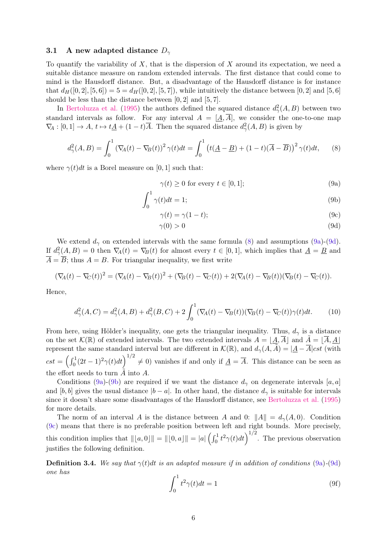#### 3.1 A new adapted distance  $D_{\gamma}$

To quantify the variability of  $X$ , that is the dispersion of  $X$  around its expectation, we need a suitable distance measure on random extended intervals. The first distance that could come to mind is the Hausdorff distance. But, a disadvantage of the Hausdorff distance is for instance that  $d_H([0, 2], [5, 6]) = 5 = d_H([0, 2], [5, 7])$ , while intuitively the distance between [0, 2] and [5, 6] should be less than the distance between  $[0, 2]$  and  $[5, 7]$ .

In Bertoluzza et al. (1995) the authors defined the squared distance  $d_{\gamma}^{2}(A, B)$  between two standard intervals as follow. For any interval  $A = [A, \overline{A}]$ , we consider the one-to-one map  $\nabla_A : [0,1] \to A$ ,  $t \mapsto t\underline{A} + (1-t)\overline{A}$ . Then the squared distance  $d^2_\gamma(A, B)$  is given by

$$
d_{\gamma}^{2}(A,B) = \int_{0}^{1} \left(\nabla_{\!A}(t) - \nabla_{\!B}(t)\right)^{2} \gamma(t)dt = \int_{0}^{1} \left(t(\underline{A} - \underline{B}) + (1 - t)(\overline{A} - \overline{B})\right)^{2} \gamma(t)dt, \tag{8}
$$

where  $\gamma(t)dt$  is a Borel measure on [0, 1] such that:

$$
\gamma(t) \ge 0 \text{ for every } t \in [0, 1];\tag{9a}
$$

$$
\int_0^1 \gamma(t)dt = 1;\tag{9b}
$$

$$
\gamma(t) = \gamma(1 - t); \tag{9c}
$$

$$
\gamma(0) > 0 \tag{9d}
$$

We extend  $d_{\gamma}$  on extended intervals with the same formula (8) and assumptions (9a)-(9d). If  $d_{\gamma}^{2}(A, B) = 0$  then  $\nabla_{\!A}(t) = \nabla_{\!B}(t)$  for almost every  $t \in [0, 1]$ , which implies that  $\underline{A} = \underline{B}$  and  $\overline{A} = \overline{B}$ ; thus  $A = B$ . For triangular inequality, we first write

$$
(\nabla_A(t) - \nabla_C(t))^2 = (\nabla_A(t) - \nabla_B(t))^2 + (\nabla_B(t) - \nabla_C(t)) + 2(\nabla_A(t) - \nabla_B(t))(\nabla_B(t) - \nabla_C(t)).
$$

Hence,

$$
d_{\gamma}^{2}(A, C) = d_{\gamma}^{2}(A, B) + d_{\gamma}^{2}(B, C) + 2 \int_{0}^{1} (\nabla_{A}(t) - \nabla_{B}(t))(\nabla_{B}(t) - \nabla_{C}(t))\gamma(t)dt.
$$
 (10)

From here, using Hölder's inequality, one gets the triangular inequality. Thus,  $d_{\gamma}$  is a distance on the set  $\mathcal{K}(\mathbb{R})$  of extended intervals. The two extended intervals  $A = \underline{A}, \overline{A}$  and  $\overline{A} = \overline{A}, \underline{A}$ represent the same standard interval but are different in  $\mathcal{K}(\mathbb{R})$ , and  $d_{\gamma}(A, \tilde{A}) = |\underline{A} - \overline{A}|cst$  (with  $cst = \left(\int_0^1 (2t-1)^2 \gamma(t) dt\right)^{1/2} \neq 0$  vanishes if and only if  $\underline{A} = \overline{A}$ . This distance can be seen as the effort needs to turn  $\tilde{A}$  into  $A$ .

Conditions (9a)-(9b) are required if we want the distance  $d_{\gamma}$  on degenerate intervals [a, a] and [b, b] gives the usual distance  $|b - a|$ . In other hand, the distance  $d_{\gamma}$  is suitable for intervals since it doesn't share some disadvantages of the Hausdorff distance, see Bertoluzza et al. (1995) for more details.

The norm of an interval A is the distance between A and 0:  $||A|| = d<sub>γ</sub>(A, 0)$ . Condition (9c) means that there is no preferable position between left and right bounds. More precisely, this condition implies that  $\| [a, 0] \| = \| [0, a] \| = |a| \left( \int_0^1 t^2 \gamma(t) dt \right)^{1/2}$ . The previous observation justifies the following definition.

**Definition 3.4.** We say that  $\gamma(t)dt$  is an adapted measure if in addition of conditions (9a)-(9d) one has

$$
\int_0^1 t^2 \gamma(t) dt = 1 \tag{9f}
$$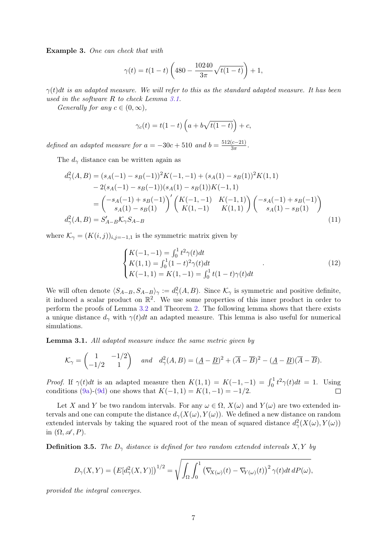Example 3. One can check that with

$$
\gamma(t) = t(1-t)\left(480 - \frac{10240}{3\pi}\sqrt{t(1-t)}\right) + 1,
$$

 $\gamma(t)dt$  is an adapted measure. We will refer to this as the standard adapted measure. It has been used in the software R to check Lemma 3.1.

Generally for any  $c \in (0, \infty)$ ,

$$
\gamma_c(t) = t(1-t)\left(a + b\sqrt{t(1-t)}\right) + c,
$$

defined an adapted measure for  $a = -30c + 510$  and  $b = \frac{512(c-21)}{3\pi}$  $\frac{(c-21)}{3\pi}$ .

The  $d_{\gamma}$  distance can be written again as

$$
d_{\gamma}^{2}(A,B) = (s_{A}(-1) - s_{B}(-1))^{2} K(-1,-1) + (s_{A}(1) - s_{B}(1))^{2} K(1,1)
$$
  
\n
$$
- 2(s_{A}(-1) - s_{B}(-1))(s_{A}(1) - s_{B}(1))K(-1,1)
$$
  
\n
$$
= \begin{pmatrix} -s_{A}(-1) + s_{B}(-1) \\ s_{A}(1) - s_{B}(1) \end{pmatrix}' \begin{pmatrix} K(-1,-1) & K(-1,1) \\ K(1,-1) & K(1,1) \end{pmatrix} \begin{pmatrix} -s_{A}(-1) + s_{B}(-1) \\ s_{A}(1) - s_{B}(1) \end{pmatrix}
$$
  
\n
$$
d_{\gamma}^{2}(A,B) = S'_{A-B} \mathcal{K}_{\gamma} S_{A-B}
$$
\n(11)

where  $\mathcal{K}_{\gamma} = (K(i,j))_{i,j=-1,1}$  is the symmetric matrix given by

$$
\begin{cases}\nK(-1,-1) = \int_0^1 t^2 \gamma(t) dt \\
K(1,1) = \int_0^1 (1-t)^2 \gamma(t) dt \\
K(-1,1) = K(1,-1) = \int_0^1 t(1-t) \gamma(t) dt\n\end{cases} \tag{12}
$$

We will often denote  $\langle S_{A-B}, S_{A-B} \rangle_{\gamma} := d_{\gamma}^{2}(A, B)$ . Since  $\mathcal{K}_{\gamma}$  is symmetric and positive definite, it induced a scalar product on  $\mathbb{R}^2$ . We use some properties of this inner product in order to perform the proofs of Lemma 3.2 and Theorem 2. The following lemma shows that there exists a unique distance  $d_{\gamma}$  with  $\gamma(t)dt$  an adapted measure. This lemma is also useful for numerical simulations.

Lemma 3.1. All adapted measure induce the same metric given by

$$
\mathcal{K}_{\gamma} = \begin{pmatrix} 1 & -1/2 \\ -1/2 & 1 \end{pmatrix} \quad \text{and} \quad d_{\gamma}^{2}(A, B) = (\underline{A} - \underline{B})^{2} + (\overline{A} - \overline{B})^{2} - (\underline{A} - \underline{B})(\overline{A} - \overline{B}).
$$

*Proof.* If  $\gamma(t)dt$  is an adapted measure then  $K(1,1) = K(-1,-1) = \int_0^1 t^2 \gamma(t)dt = 1$ . Using conditions (9a)-(9d) one shows that  $K(-1, 1) = K(1, -1) = -1/2$ .  $\Box$ 

Let X and Y be two random intervals. For any  $\omega \in \Omega$ ,  $X(\omega)$  and  $Y(\omega)$  are two extended intervals and one can compute the distance  $d_{\gamma}(X(\omega), Y(\omega))$ . We defined a new distance on random extended intervals by taking the squared root of the mean of squared distance  $d_{\gamma}^2(X(\omega), Y(\omega))$ in  $(\Omega, \mathscr{A}, P)$ .

**Definition 3.5.** The  $D_{\gamma}$  distance is defined for two random extended intervals X, Y by

$$
D_{\gamma}(X,Y) = \left( E[d_{\gamma}^{2}(X,Y)] \right)^{1/2} = \sqrt{\int_{\Omega} \int_{0}^{1} \left( \nabla_{X(\omega)}(t) - \nabla_{Y(\omega)}(t) \right)^{2} \gamma(t) dt dP(\omega)},
$$

provided the integral converges.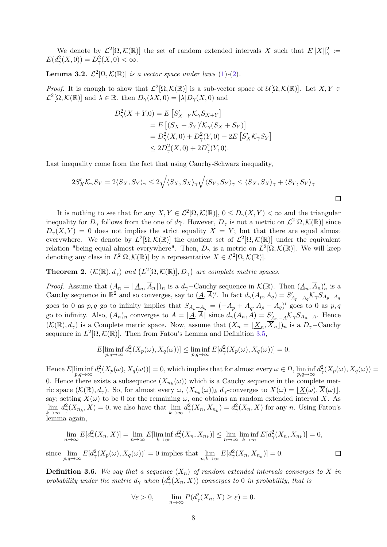We denote by  $\mathcal{L}^2[\Omega,\mathcal{K}(\mathbb{R})]$  the set of random extended intervals X such that  $E||X||_{\gamma}^2 :=$  $E(d_{\gamma}^{2}(X, 0)) = D_{\gamma}^{2}(X, 0) < \infty.$ 

**Lemma 3.2.**  $\mathcal{L}^2[\Omega,\mathcal{K}(\mathbb{R})]$  is a vector space under laws (1)-(2).

*Proof.* It is enough to show that  $\mathcal{L}^2[\Omega,\mathcal{K}(\mathbb{R})]$  is a sub-vector space of  $\mathcal{U}[\Omega,\mathcal{K}(\mathbb{R})]$ . Let  $X, Y \in$  $\mathcal{L}^2[\Omega,\mathcal{K}(\mathbb{R})]$  and  $\lambda \in \mathbb{R}$ . then  $D_{\gamma}(\lambda X,0) = |\lambda|D_{\gamma}(X,0)$  and

$$
D_{\gamma}^{2}(X + Y,0) = E\left[S_{X+Y}'\mathcal{K}_{\gamma}S_{X+Y}\right]
$$
  
=  $E\left[(S_{X} + S_{Y})'\mathcal{K}_{\gamma}(S_{X} + S_{Y})\right]$   
=  $D_{\gamma}^{2}(X,0) + D_{\gamma}^{2}(Y,0) + 2E\left[S_{X}'\mathcal{K}_{\gamma}S_{Y}\right]$   
 $\leq 2D_{\gamma}^{2}(X,0) + 2D_{\gamma}^{2}(Y,0).$ 

Last inequality come from the fact that using Cauchy-Schwarz inequality,

$$
2S'_{X}\mathcal{K}_{\gamma}S_{Y} = 2\langle S_{X}, S_{Y}\rangle_{\gamma} \leq 2\sqrt{\langle S_{X}, S_{X}\rangle_{\gamma}}\sqrt{\langle S_{Y}, S_{Y}\rangle_{\gamma}} \leq \langle S_{X}, S_{X}\rangle_{\gamma} + \langle S_{Y}, S_{Y}\rangle_{\gamma}
$$

It is nothing to see that for any  $X, Y \in \mathcal{L}^2[\Omega, \mathcal{K}(\mathbb{R})], 0 \leq D_{\gamma}(X, Y) < \infty$  and the triangular inequality for  $D_{\gamma}$  follows from the one of d $\gamma$ . However,  $D_{\gamma}$  is not a metric on  $\mathcal{L}^2[\Omega,\mathcal{K}(\mathbb{R})]$  since  $D_{\gamma}(X, Y) = 0$  does not implies the strict equality  $X = Y$ ; but that there are equal almost everywhere. We denote by  $L^2[\Omega,\mathcal{K}(\mathbb{R})]$  the quotient set of  $\mathcal{L}^2[\Omega,\mathcal{K}(\mathbb{R})]$  under the equivalent relation "being equal almost everywhere". Then,  $D_{\gamma}$  is a metric on  $L^2[\Omega, \mathcal{K}(\mathbb{R})]$ . We will keep denoting any class in  $L^2[\Omega, \mathcal{K}(\mathbb{R})]$  by a representative  $X \in \mathcal{L}^2[\Omega, \mathcal{K}(\mathbb{R})]$ .

**Theorem 2.**  $(\mathcal{K}(\mathbb{R}), d_\gamma)$  and  $(L^2[\Omega, \mathcal{K}(\mathbb{R})], D_\gamma)$  are complete metric spaces.

*Proof.* Assume that  $(A_n = \underline{A_n}, \overline{A}_n]_n$  is a  $d_\gamma$ -Cauchy sequence in  $\mathcal{K}(\mathbb{R})$ . Then  $(\underline{A_n}, \overline{A}_n)_n'$  is a Cauchy sequence in  $\mathbb{R}^2$  and so converges, say to  $(\underline{A}, \overline{A})'$ . In fact  $d_{\gamma}(A_p, A_q) = S'_{A_p-A_q} \mathcal{K}_{\gamma} S_{A_p-A_q}$ goes to 0 as p, q go to infinity implies that  $S_{A_p-A_q} = (-\underline{A}_p + \underline{A}_q, \overline{A}_p - \overline{A}_q)'$  goes to 0 as p, q go to infinity. Also,  $(A_n)_n$  converges to  $A = \lfloor \underline{A}, \overline{A} \rfloor$  since  $d_{\gamma}(A_n, A) = S'_{A_n - A} \mathcal{K}_{\gamma} S_{A_n - A}$ . Hence  $(\mathcal{K}(\mathbb{R}), d_\gamma)$  is a Complete metric space. Now, assume that  $(X_n = \lfloor \underline{X}_n, \overline{X}_n \rfloor)_n$  is a  $D_\gamma$ -Cauchy sequence in  $L^2[\Omega,\mathcal{K}(\mathbb{R})]$ . Then from Fatou's Lemma and Definition 3.5,

$$
E[\liminf_{p,q \to \infty} d^2_{\gamma}(X_p(\omega), X_q(\omega))] \le \liminf_{p,q \to \infty} E[d^2_{\gamma}(X_p(\omega), X_q(\omega))] = 0.
$$

Hence  $E[\liminf_{p,q\to\infty} d^2_\gamma(X_p(\omega), X_q(\omega))] = 0$ , which implies that for almost every  $\omega \in \Omega$ ,  $\liminf_{p,q\to\infty} d^2_\gamma(X_p(\omega), X_q(\omega)) =$ 0. Hence there exists a subsequence  $(X_{n_k}(\omega))$  which is a Cauchy sequence in the complete metric space  $(K(\mathbb{R}), d_\gamma)$ . So, for almost every  $\omega$ ,  $(X_{n_k}(\omega))_k d_\gamma$ -converges to  $X(\omega) = \lfloor \underline{X}(\omega), \overline{X}(\omega) \rfloor$ , say; setting  $X(\omega)$  to be 0 for the remaining  $\omega$ , one obtains an random extended interval X. As  $\lim_{k\to\infty} d_\gamma^2(X_{n_k}, X) = 0$ , we also have that  $\lim_{k\to\infty} d_\gamma^2(X_n, X_{n_k}) = d_\gamma^2(X_n, X)$  for any n. Using Fatou's lemma again,

$$
\lim_{n \to \infty} E[d_{\gamma}^{2}(X_{n}, X)] = \lim_{n \to \infty} E[\liminf_{k \to \infty} d_{\gamma}^{2}(X_{n}, X_{n_{k}})] \le \lim_{n \to \infty} \liminf_{k \to \infty} E[d_{\gamma}^{2}(X_{n}, X_{n_{k}})] = 0,
$$
  
since  $\lim_{p,q \to \infty} E[d_{\gamma}^{2}(X_{p}(\omega), X_{q}(\omega))] = 0$  implies that  $\lim_{n,k \to \infty} E[d_{\gamma}^{2}(X_{n}, X_{n_{k}})] = 0.$ 

**Definition 3.6.** We say that a sequence  $(X_n)$  of random extended intervals converges to X in probability under the metric  $d_{\gamma}$  when  $(d_{\gamma}^2(X_n,X))$  converges to 0 in probability, that is

$$
\forall \varepsilon > 0, \qquad \lim_{n \to \infty} P(d_{\gamma}^{2}(X_{n}, X) \ge \varepsilon) = 0.
$$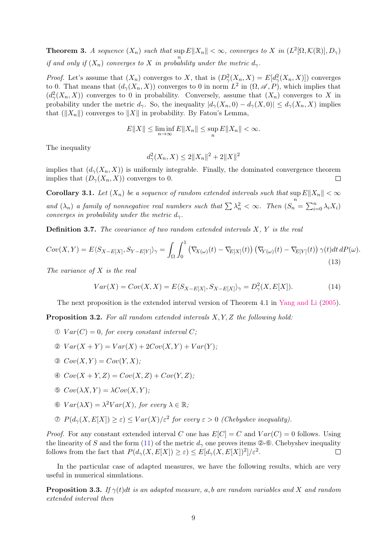**Theorem 3.** A sequence  $(X_n)$  such that  $\sup E||X_n|| < \infty$ , converges to X in  $(L^2[\Omega, \mathcal{K}(\mathbb{R})], D_\gamma)$ if and only if  $(X_n)$  converges to X in probability under the metric  $d_{\gamma}$ .

*Proof.* Let's assume that  $(X_n)$  converges to X, that is  $(D_\gamma^2(X_n, X) = E[d_\gamma^2(X_n, X)])$  converges to 0. That means that  $(d_{\gamma}(X_n, X))$  converges to 0 in norm  $L^2$  in  $(\Omega, \mathscr{A}, P)$ , which implies that  $(d^2_\gamma(X_n, X))$  converges to 0 in probability. Conversely, assume that  $(X_n)$  converges to X in probability under the metric  $d_{\gamma}$ . So, the inequality  $|d_{\gamma}(X_n, 0) - d_{\gamma}(X, 0)| \leq d_{\gamma}(X_n, X)$  implies that  $(\|X_n\|)$  converges to  $\|X\|$  in probability. By Fatou's Lemma,

$$
E||X|| \le \liminf_{n \to \infty} E||X_n|| \le \sup_n E||X_n|| < \infty.
$$

The inequality

$$
d_{\gamma}^{2}(X_{n}, X) \leq 2||X_{n}||^{2} + 2||X||^{2}
$$

implies that  $(d_{\gamma}(X_n, X))$  is uniformly integrable. Finally, the dominated convergence theorem implies that  $(D_{\gamma}(X_n, X))$  converges to 0.  $\Box$ 

**Corollary 3.1.** Let  $(X_n)$  be a sequence of random extended intervals such that  $\sup E\|X_n\| < \infty$ n and  $(\lambda_n)$  a family of nonnegative real numbers such that  $\sum \lambda_n^2 < \infty$ . Then  $(S_n = \sum_{i=0}^n \lambda_i X_i)$ converges in probability under the metric  $d_{\gamma}$ .

**Definition 3.7.** The covariance of two random extended intervals  $X, Y$  is the real

$$
Cov(X,Y) = E\langle S_{X-E[X]}, S_{Y-E[Y]}\rangle_{\gamma} = \int_{\Omega} \int_{0}^{1} \left(\nabla_{X(\omega)}(t) - \nabla_{E[X]}(t)\right) \left(\nabla_{Y(\omega)}(t) - \nabla_{E[Y]}(t)\right) \gamma(t) dt dP(\omega).
$$
\n(13)

The variance of  $X$  is the real

$$
Var(X) = Cov(X, X) = E\langle S_{X-E[X]}, S_{X-E[X]}\rangle_{\gamma} = D_{\gamma}^{2}(X, E[X]).
$$
\n(14)

The next proposition is the extended interval version of Theorem 4.1 in Yang and Li (2005).

**Proposition 3.2.** For all random extended intervals  $X, Y, Z$  the following hold:

- $\mathcal{D} \; Var(C) = 0$ , for every constant interval C;
- $\mathcal{Q} \; Var(X + Y) = Var(X) + 2Cov(X, Y) + Var(Y);$
- $\mathfrak{D} \ \text{Cov}(X,Y) = \text{Cov}(Y,X);$
- $\textcircled{4} Cov(X + Y, Z) = Cov(X, Z) + Cov(Y, Z);$
- $\mathfrak{S}$   $Cov(\lambda X, Y) = \lambda Cov(X, Y);$
- $\mathcal{F} \text{Var}(\lambda X) = \lambda^2 Var(X), \text{ for every } \lambda \in \mathbb{R};$
- $\mathcal{D} \ P(d_{\gamma}(X, E[X]) \geq \varepsilon) \leq Var(X)/\varepsilon^2$  for every  $\varepsilon > 0$  (Chebyshev inequality).

*Proof.* For any constant extended interval C one has  $E[C] = C$  and  $Var(C) = 0$  follows. Using the linearity of S and the form (11) of the metric  $d_{\gamma}$  one proves items  $\circledcirc$ - $\circledcirc$ . Chebyshev inequality follows from the fact that  $P(d_{\gamma}(X, E[X]) \geq \varepsilon) \leq E[d_{\gamma}(X, E[X])^{2}]/\varepsilon^{2}$ .  $\Box$ 

In the particular case of adapted measures, we have the following results, which are very useful in numerical simulations.

**Proposition 3.3.** If  $\gamma(t)dt$  is an adapted measure, a, b are random variables and X and random extended interval then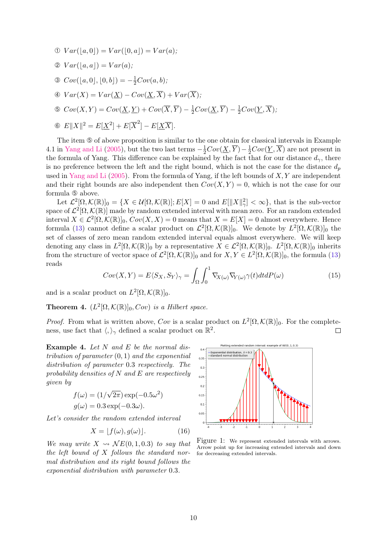- $\mathbb{O} \; Var([a, 0]) = Var([0, a]) = Var(a);$
- $\mathcal{D} \; Var([a, a]) = Var(a);$
- ③  $Cov([a, 0], [0, b]) = -\frac{1}{2}Cov(a, b);$
- $\textcircled{4} \; Var(X) = Var(X) Cov(X, \overline{X}) + Var(\overline{X});$
- $\textcircled{s} \ \textit{Cov}(X,Y) = \textit{Cov}(\underline{X},\underline{Y}) + \textit{Cov}(\overline{X},\overline{Y}) \frac{1}{2}\textit{Cov}(\underline{X},\overline{Y}) \frac{1}{2}\textit{Cov}(\underline{Y},\overline{X}),$
- 6  $E||X||^2 = E[X^2] + E[\overline{X}^2] E[X\overline{X}].$

The item  $\circledcirc$  of above proposition is similar to the one obtain for classical intervals in Example 4.1 in Yang and Li (2005), but the two last terms  $-\frac{1}{2}Cov(\underline{X}, \overline{Y}) - \frac{1}{2}Cov(\underline{Y}, \overline{X})$  are not present in the formula of Yang. This difference can be explained by the fact that for our distance  $d_{\gamma}$ , there is no preference between the left and the right bound, which is not the case for the distance  $d_p$ used in Yang and Li  $(2005)$ . From the formula of Yang, if the left bounds of X, Y are independent and their right bounds are also independent then  $Cov(X, Y) = 0$ , which is not the case for our formula ➄ above.

Let  $\mathcal{L}^2[\Omega,\mathcal{K}(\mathbb{R})]_0 = \{X \in \mathcal{U}[\Omega,\mathcal{K}(\mathbb{R})]; E[X] = 0 \text{ and } E[\|X\|_{\gamma}^2] < \infty\}$ , that is the sub-vector space of  $\mathcal{L}^2[\Omega,\mathcal{K}(\mathbb{R})]$  made by random extended interval with mean zero. For an random extended interval  $X \in \mathcal{L}^2[\Omega,\mathcal{K}(\mathbb{R})]_0$ ,  $Cov(X,X) = 0$  means that  $X = E[X] = 0$  almost everywhere. Hence formula (13) cannot define a scalar product on  $\mathcal{L}^2[\Omega,\mathcal{K}(\mathbb{R})]_0$ . We denote by  $L^2[\Omega,\mathcal{K}(\mathbb{R})]_0$  the set of classes of zero mean random extended interval equals almost everywhere. We will keep denoting any class in  $L^2[\Omega,\mathcal{K}(\mathbb{R})]_0$  by a representative  $X \in \mathcal{L}^2[\Omega,\mathcal{K}(\mathbb{R})]_0$ .  $L^2[\Omega,\mathcal{K}(\mathbb{R})]_0$  inherits from the structure of vector space of  $\mathcal{L}^2[\Omega,\mathcal{K}(\mathbb{R})]_0$  and for  $X, Y \in L^2[\Omega,\mathcal{K}(\mathbb{R})]_0$ , the formula (13) reads

$$
Cov(X,Y) = E\langle S_X, S_Y \rangle_{\gamma} = \int_{\Omega} \int_0^1 \nabla_{X(\omega)} \nabla_{Y(\omega)} \gamma(t) dt dP(\omega)
$$
(15)

and is a scalar product on  $L^2[\Omega, \mathcal{K}(\mathbb{R})]_0$ .

**Theorem 4.**  $(L^2[\Omega,\mathcal{K}(\mathbb{R})]_0, Cov)$  is a Hilbert space.

*Proof.* From what is written above, Cov is a scalar product on  $L^2[\Omega, \mathcal{K}(\mathbb{R})]_0$ . For the completeness, use fact that  $\langle,\rangle_{\gamma}$  defined a scalar product on  $\mathbb{R}^2$ .  $\Box$ 

**Example 4.** Let  $N$  and  $E$  be the normal distribution of parameter  $(0, 1)$  and the exponential distribution of parameter 0.3 respectively. The probability densities of  $N$  and  $E$  are respectively given by

$$
f(\omega) = (1/\sqrt{2\pi}) \exp(-0.5\omega^2)
$$
  

$$
g(\omega) = 0.3 \exp(-0.3\omega).
$$

Let's consider the random extended interval

$$
X = [f(\omega), g(\omega)].
$$
 (16)

We may write  $X \rightsquigarrow \mathcal{N}E(0, 1, 0.3)$  to say that the left bound of X follows the standard normal distribution and its right bound follows the exponential distribution with parameter 0.3.

Plotting extended random interval: example of NE(0, 1, 0,3)  $04$  $\lambda =$ Exponential distribution,  $\lambda =$  $0.35$  $0.3$  $0.25$  $0.2$  $0.15$  $0.1$  $0.05$ 

Figure 1: We represent extended intervals with arrows. Arrow point up for increasing extended intervals and down for decreasing extended intervals.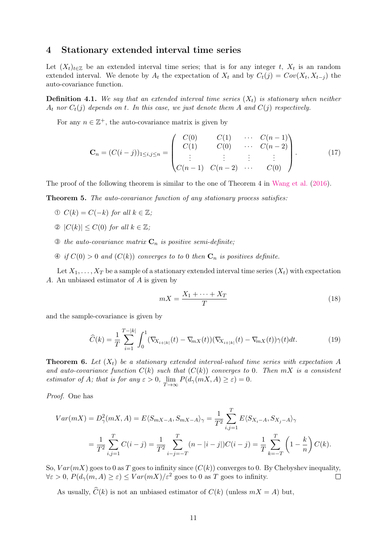## 4 Stationary extended interval time series

Let  $(X_t)_{t\in\mathbb{Z}}$  be an extended interval time series; that is for any integer t,  $X_t$  is an random extended interval. We denote by  $A_t$  the expectation of  $X_t$  and by  $C_t(j) = Cov(X_t, X_{t-j})$  the auto-covariance function.

**Definition 4.1.** We say that an extended interval time series  $(X_t)$  is stationary when neither  $A_t$  nor  $C_t(j)$  depends on t. In this case, we just denote them A and  $C(j)$  respectively.

For any  $n \in \mathbb{Z}^+$ , the auto-covariance matrix is given by

$$
\mathbf{C}_n = (C(i-j))_{1 \le i,j \le n} = \begin{pmatrix} C(0) & C(1) & \cdots & C(n-1) \\ C(1) & C(0) & \cdots & C(n-2) \\ \vdots & \vdots & \vdots & \vdots \\ C(n-1) & C(n-2) & \cdots & C(0) \end{pmatrix}.
$$
 (17)

The proof of the following theorem is similar to the one of Theorem 4 in Wang et al. (2016).

Theorem 5. The auto-covariance function of any stationary process satisfies:

- ①  $C(k) = C(-k)$  for all  $k \in \mathbb{Z}$ ;
- ②  $|C(k)|$  ≤  $C(0)$  for all  $k \in \mathbb{Z}$ ;
- $\circled{1}$  the auto-covariance matrix  $\mathbf{C}_n$  is positive semi-definite;
- $\Phi$  if  $C(0) > 0$  and  $(C(k))$  converges to to 0 then  $\mathbf{C}_n$  is positives definite.

Let  $X_1, \ldots, X_T$  be a sample of a stationary extended interval time series  $(X_t)$  with expectation A. An unbiased estimator of A is given by

$$
mX = \frac{X_1 + \dots + X_T}{T}
$$
\n<sup>(18)</sup>

and the sample-covariance is given by

$$
\widehat{C}(k) = \frac{1}{T} \sum_{i=1}^{T-|k|} \int_0^1 (\nabla_{X_{i+|k|}}(t) - \nabla_{mX}(t)) (\nabla_{X_{i+|k|}}(t) - \nabla_{mX}(t)) \gamma(t) dt.
$$
\n(19)

**Theorem 6.** Let  $(X_t)$  be a stationary extended interval-valued time series with expectation A and auto-covariance function  $C(k)$  such that  $(C(k))$  converges to 0. Then mX is a consistent estimator of A; that is for any  $\varepsilon > 0$ ,  $\lim_{T \to \infty} P(d_{\gamma}(mX, A) \ge \varepsilon) = 0$ .

Proof. One has

$$
Var(mX) = D_{\gamma}^{2}(mX, A) = E\langle S_{mX-A}, S_{mX-A} \rangle_{\gamma} = \frac{1}{T^{2}} \sum_{i,j=1}^{T} E\langle S_{X_{i}-A}, S_{X_{j}-A} \rangle_{\gamma}
$$
  
= 
$$
\frac{1}{T^{2}} \sum_{i,j=1}^{T} C(i-j) = \frac{1}{T^{2}} \sum_{i-j=-T}^{T} (n-|i-j|)C(i-j) = \frac{1}{T} \sum_{k=-T}^{T} \left(1 - \frac{k}{n}\right) C(k).
$$

So,  $Var(mX)$  goes to 0 as T goes to infinity since  $(C(k))$  converges to 0. By Chebyshev inequality,  $\forall \varepsilon > 0$ ,  $P(d_{\gamma}(m, A) \ge \varepsilon) \le Var(mX)/\varepsilon^2$  goes to 0 as T goes to infinity.  $\Box$ 

As usually,  $\widehat{C}(k)$  is not an unbiased estimator of  $C(k)$  (unless  $mX = A$ ) but,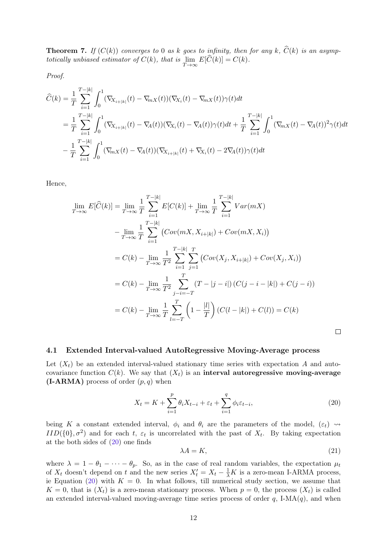**Theorem 7.** If  $(C(k))$  converges to 0 as k goes to infinity, then for any k,  $\widehat{C}(k)$  is an asymptotically unbiased estimator of  $C(k)$ , that is  $\lim_{T\to\infty} E[C(k)] = C(k)$ .

Proof.

$$
\widehat{C}(k) = \frac{1}{T} \sum_{i=1}^{T-|k|} \int_0^1 (\nabla_{X_{i+|k|}}(t) - \nabla_{mX}(t)) (\nabla_{X_i}(t) - \nabla_{mX}(t)) \gamma(t) dt
$$
\n
$$
= \frac{1}{T} \sum_{i=1}^{T-|k|} \int_0^1 (\nabla_{X_{i+|k|}}(t) - \nabla_A(t)) (\nabla_{X_i}(t) - \nabla_A(t)) \gamma(t) dt + \frac{1}{T} \sum_{i=1}^{T-|k|} \int_0^1 (\nabla_{mX}(t) - \nabla_A(t))^2 \gamma(t) dt
$$
\n
$$
- \frac{1}{T} \sum_{i=1}^{T-|k|} \int_0^1 (\nabla_{mX}(t) - \nabla_A(t)) (\nabla_{X_{i+|k|}}(t) + \nabla_{X_i}(t) - 2\nabla_A(t)) \gamma(t) dt
$$

Hence,

$$
\lim_{T \to \infty} E[\widehat{C}(k)] = \lim_{T \to \infty} \frac{1}{T} \sum_{i=1}^{T-|k|} E[C(k)] + \lim_{T \to \infty} \frac{1}{T} \sum_{i=1}^{T-|k|} Var(mX)
$$
\n
$$
- \lim_{T \to \infty} \frac{1}{T} \sum_{i=1}^{T-|k|} (Cov(mX, X_{i+|k|}) + Cov(mX, X_i))
$$
\n
$$
= C(k) - \lim_{T \to \infty} \frac{1}{T^2} \sum_{i=1}^{T-|k|} \sum_{j=1}^{T} (Cov(X_j, X_{i+|k|}) + Cov(X_j, X_i))
$$
\n
$$
= C(k) - \lim_{T \to \infty} \frac{1}{T^2} \sum_{j-i=-T}^{T} (T - |j-i|) (C(j-i-|k|) + C(j-i))
$$
\n
$$
= C(k) - \lim_{T \to \infty} \frac{1}{T} \sum_{l=-T}^{T} \left(1 - \frac{|l|}{T}\right) (C(l-|k|) + C(l)) = C(k)
$$

#### 4.1 Extended Interval-valued AutoRegressive Moving-Average process

Let  $(X_t)$  be an extended interval-valued stationary time series with expectation A and autocovariance function  $C(k)$ . We say that  $(X<sub>t</sub>)$  is an interval autoregressive moving-average  $(I-ARMA)$  process of order  $(p, q)$  when

$$
X_t = K + \sum_{i=1}^p \theta_i X_{t-i} + \varepsilon_t + \sum_{i=1}^q \phi_i \varepsilon_{t-i},\tag{20}
$$

being K a constant extended interval,  $\phi_i$  and  $\theta_i$  are the parameters of the model,  $(\varepsilon_t) \rightsquigarrow$  $IID({0}, \sigma^2)$  and for each t,  $\varepsilon_t$  is uncorrelated with the past of  $X_t$ . By taking expectation at the both sides of (20) one finds

$$
\lambda A = K,\tag{21}
$$

 $\Box$ 

where  $\lambda = 1 - \theta_1 - \cdots - \theta_p$ . So, as in the case of real random variables, the expectation  $\mu_t$ of  $X_t$  doesn't depend on t and the new series  $X'_t = X_t - \frac{1}{\lambda}K$  is a zero-mean I-ARMA process, ie Equation (20) with  $K = 0$ . In what follows, till numerical study section, we assume that  $K = 0$ , that is  $(X_t)$  is a zero-mean stationary process. When  $p = 0$ , the process  $(X_t)$  is called an extended interval-valued moving-average time series process of order  $q$ , I-MA $(q)$ , and when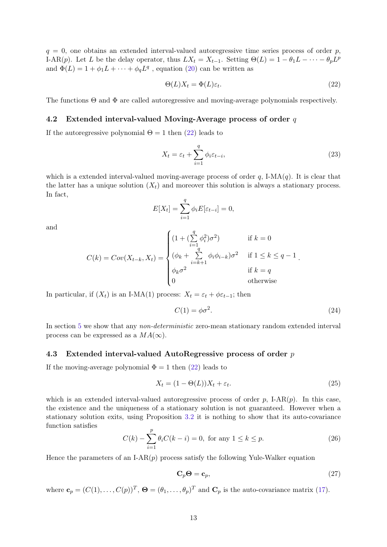$q = 0$ , one obtains an extended interval-valued autoregressive time series process of order p, I-AR(p). Let L be the delay operator, thus  $LX_t = X_{t-1}$ . Setting  $\Theta(L) = 1 - \theta_1 L - \cdots - \theta_p L^p$ and  $\Phi(L) = 1 + \phi_1 L + \cdots + \phi_q L^q$ , equation (20) can be written as

$$
\Theta(L)X_t = \Phi(L)\varepsilon_t. \tag{22}
$$

The functions Θ and Φ are called autoregressive and moving-average polynomials respectively.

### 4.2 Extended interval-valued Moving-Average process of order  $q$

If the autoregressive polynomial  $\Theta = 1$  then (22) leads to

$$
X_t = \varepsilon_t + \sum_{i=1}^q \phi_i \varepsilon_{t-i},\tag{23}
$$

which is a extended interval-valued moving-average process of order q, I-MA $(q)$ . It is clear that the latter has a unique solution  $(X_t)$  and moreover this solution is always a stationary process. In fact,

$$
E[X_t] = \sum_{i=1}^q \phi_i E[\varepsilon_{t-i}] = 0,
$$

and

$$
C(k) = Cov(X_{t-k}, X_t) = \begin{cases} (1 + (\sum_{i=1}^q \phi_i^2)\sigma^2) & \text{if } k = 0\\ (\phi_k + \sum_{i=k+1}^q \phi_i \phi_{i-k})\sigma^2 & \text{if } 1 \le k \le q - 1\\ \phi_k \sigma^2 & \text{if } k = q\\ 0 & \text{otherwise} \end{cases}
$$

In particular, if  $(X_t)$  is an I-MA(1) process:  $X_t = \varepsilon_t + \phi \varepsilon_{t-1}$ ; then

$$
C(1) = \phi \sigma^2. \tag{24}
$$

In section 5 we show that any *non-deterministic* zero-mean stationary random extended interval process can be expressed as a  $MA(\infty)$ .

#### 4.3 Extended interval-valued AutoRegressive process of order p

If the moving-average polynomial  $\Phi = 1$  then (22) leads to

$$
X_t = (1 - \Theta(L))X_t + \varepsilon_t. \tag{25}
$$

which is an extended interval-valued autoregressive process of order  $p$ , I-AR $(p)$ . In this case, the existence and the uniqueness of a stationary solution is not guaranteed. However when a stationary solution exits, using Proposition 3.2 it is nothing to show that its auto-covariance function satisfies

$$
C(k) - \sum_{i=1}^{p} \theta_i C(k - i) = 0, \text{ for any } 1 \le k \le p.
$$
 (26)

Hence the parameters of an I-AR $(p)$  process satisfy the following Yule-Walker equation

$$
\mathbf{C}_p \mathbf{\Theta} = \mathbf{c}_p,\tag{27}
$$

where  $\mathbf{c}_p = (C(1), \ldots, C(p))^T$ ,  $\mathbf{\Theta} = (\theta_1, \ldots, \theta_p)^T$  and  $\mathbf{C}_p$  is the auto-covariance matrix (17).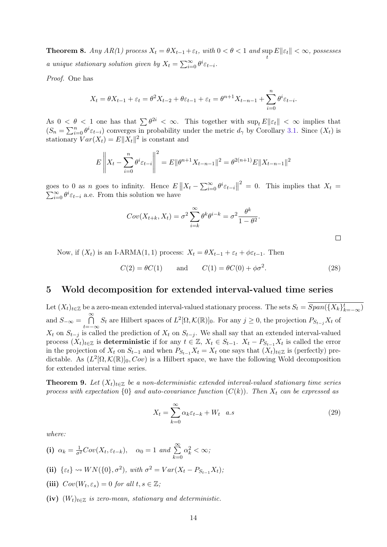**Theorem 8.** Any  $AR(1)$  process  $X_t = \theta X_{t-1} + \varepsilon_t$ , with  $0 < \theta < 1$  and  $\sup_t E||\varepsilon_t|| < \infty$ , possesses a unique stationary solution given by  $X_t = \sum_{i=0}^{\infty} \theta^i \varepsilon_{t-i}$ .

Proof. One has

$$
X_t = \theta X_{t-1} + \varepsilon_t = \theta^2 X_{t-2} + \theta \varepsilon_{t-1} + \varepsilon_t = \theta^{n+1} X_{t-n-1} + \sum_{i=0}^n \theta^i \varepsilon_{t-i}.
$$

As  $0 < \theta < 1$  one has that  $\sum \theta^{2i} < \infty$ . This together with  $\sup_t E ||\varepsilon_t|| < \infty$  implies that  $(S_n = \sum_{i=0}^n \theta^i \varepsilon_{t-i})$  converges in probability under the metric  $d_\gamma$  by Corollary 3.1. Since  $(X_t)$  is stationary  $Var(X_t) = E||X_t||^2$  is constant and

$$
E\left\|X_t - \sum_{i=0}^n \theta^i \varepsilon_{t-i}\right\|^2 = E\|\theta^{n+1} X_{t-n-1}\|^2 = \theta^{2(n+1)} E\|X_{t-n-1}\|^2
$$

goes to 0 as *n* goes to infinity. Hence  $E\|X_t - \sum_{i=0}^{\infty} \theta^i \varepsilon_{t-i}\|$  $2^2 = 0$ . This implies that  $X_t =$  $\sum_{i=0}^{\infty} \theta^i \varepsilon_{t-i}$  a.e. From this solution we have

$$
Cov(X_{t+k}, X_t) = \sigma^2 \sum_{i=k}^{\infty} \theta^k \theta^{i-k} = \sigma^2 \frac{\theta^k}{1 - \theta^2}.
$$

 $\Box$ 

Now, if  $(X_t)$  is an I-ARMA(1, 1) process:  $X_t = \theta X_{t-1} + \varepsilon_t + \phi \varepsilon_{t-1}$ . Then

 $C(2) = \theta C(1)$  and  $C(1) = \theta C(0) + \phi \sigma^2$ .  $(28)$ 

## 5 Wold decomposition for extended interval-valued time series

Let  $(X_t)_{t\in\mathbb{Z}}$  be a zero-mean extended interval-valued stationary process. The sets  $S_t = \overline{Span(\{X_k\}_{k=-\infty}^t)}$ and  $S_{-\infty} = \bigcap_{\infty}^{\infty}$  $\bigcap_{t=-\infty}^{\infty} S_t$  are Hilbert spaces of  $L^2[\Omega, \mathcal{K}(\mathbb{R})]_0$ . For any  $j \geq 0$ , the projection  $P_{S_{t-j}} X_t$  of  $X_t$  on  $S_{t-j}$  is called the prediction of  $X_t$  on  $S_{t-j}$ . We shall say that an extended interval-valued process  $(X_t)_{t\in\mathbb{Z}}$  is deterministic if for any  $t\in\mathbb{Z}$ ,  $X_t\in S_{t-1}$ .  $X_t-P_{S_{t-1}}X_t$  is called the error in the projection of  $X_t$  on  $S_{t-1}$  and when  $P_{S_{t-1}}X_t = X_t$  one says that  $(X_t)_{t\in\mathbb{Z}}$  is (perfectly) predictable. As  $(L^2[\Omega, \mathcal{K}(\mathbb{R})]_0, Cov)$  is a Hilbert space, we have the following Wold decomposition for extended interval time series.

**Theorem 9.** Let  $(X_t)_{t\in\mathbb{Z}}$  be a non-deterministic extended interval-valued stationary time series process with expectation  ${0}$  and auto-covariance function  $(C(k))$ . Then  $X_t$  can be expressed as

$$
X_t = \sum_{k=0}^{\infty} \alpha_k \varepsilon_{t-k} + W_t \quad a.s \tag{29}
$$

where:

- (i)  $\alpha_k = \frac{1}{\sigma^2}Cov(X_t, \varepsilon_{t-k}), \quad \alpha_0 = 1 \text{ and } \sum_{k=1}^{\infty}$  $k=0$  $\alpha_k^2 < \infty$ ;
- (ii)  $\{\varepsilon_t\} \rightsquigarrow WN(\{0\}, \sigma^2), \text{ with } \sigma^2 = Var(X_t P_{S_{t-1}}X_t);$
- (iii)  $Cov(W_t, \varepsilon_s) = 0$  for all  $t, s \in \mathbb{Z}$ ;
- (iv)  $(W_t)_{t \in \mathbb{Z}}$  is zero-mean, stationary and deterministic.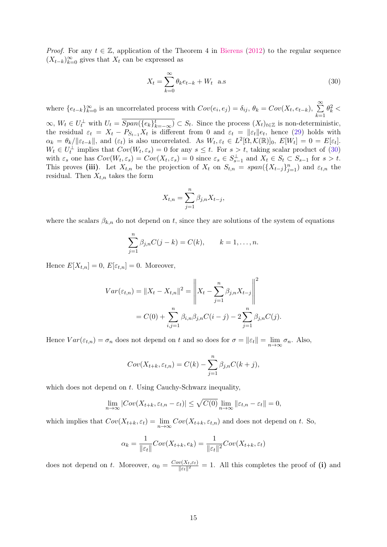*Proof.* For any  $t \in \mathbb{Z}$ , application of the Theorem 4 in Bierens (2012) to the regular sequence  $(X_{t-k})_{k=0}^{\infty}$  gives that  $X_t$  can be expressed as

$$
X_t = \sum_{k=0}^{\infty} \theta_k e_{t-k} + W_t \quad \text{a.s}
$$
\n(30)

where  $\{e_{t-k}\}_{k=0}^{\infty}$  is an uncorrelated process with  $Cov(e_i, e_j) = \delta_{ij}, \theta_k = Cov(X_t, e_{t-k}), \sum_{k=0}^{\infty} \theta_k^2 <$  $k=1$ 

 $\infty, W_t \in U_t^{\perp}$  with  $U_t = \overline{Span(\{e_k\}_{k=-\infty}^t)} \subset S_t$ . Since the process  $(X_t)_{t \in \mathbb{Z}}$  is non-deterministic, the residual  $\varepsilon_t = X_t - P_{S_{t-1}} X_t$  is different from 0 and  $\varepsilon_t = ||\varepsilon_t||e_t$ , hence (29) holds with  $\alpha_k = \theta_k / ||\varepsilon_{t-k}||$ , and  $(\varepsilon_t)$  is also uncorrelated. As  $W_t, \varepsilon_t \in L^2[\Omega, \mathcal{K}(\mathbb{R})]_0$ ,  $E[W_t] = 0 = E[\varepsilon_t]$ .  $W_t \in U_t^{\perp}$  implies that  $Cov(W_t, \varepsilon_s) = 0$  for any  $s \leq t$ . For  $s > t$ , taking scalar product of (30) with  $\varepsilon_s$  one has  $Cov(W_t, \varepsilon_s) = Cov(X_t, \varepsilon_s) = 0$  since  $\varepsilon_s \in S_{s-1}^{\perp}$  and  $X_t \in S_t \subset S_{s-1}$  for  $s > t$ . This proves (iii). Let  $X_{t,n}$  be the projection of  $X_t$  on  $S_{t,n} = span({X_{t-j}}_{j=1}^n)$  and  $\varepsilon_{t,n}$  the residual. Then  $X_{t,n}$  takes the form

$$
X_{t,n} = \sum_{j=1}^{n} \beta_{j,n} X_{t-j},
$$

where the scalars  $\beta_{k,n}$  do not depend on t, since they are solutions of the system of equations

$$
\sum_{j=1}^{n} \beta_{j,n} C(j-k) = C(k), \qquad k = 1, \dots, n.
$$

Hence  $E[X_{t,n}] = 0$ ,  $E[\varepsilon_{t,n}] = 0$ . Moreover,

$$
Var(\varepsilon_{t,n}) = \|X_t - X_{t,n}\|^2 = \left\|X_t - \sum_{j=1}^n \beta_{j,n} X_{t-j}\right\|^2
$$
  
=  $C(0) + \sum_{i,j=1}^n \beta_{i,n} \beta_{j,n} C(i-j) - 2 \sum_{j=1}^n \beta_{j,n} C(j).$ 

Hence  $Var(\varepsilon_{t,n}) = \sigma_n$  does not depend on t and so does for  $\sigma = ||\varepsilon_t|| = \lim_{n \to \infty} \sigma_n$ . Also,

$$
Cov(X_{t+k}, \varepsilon_{t,n}) = C(k) - \sum_{j=1}^{n} \beta_{j,n} C(k+j),
$$

which does not depend on  $t$ . Using Cauchy-Schwarz inequality,

$$
\lim_{n \to \infty} |Cov(X_{t+k}, \varepsilon_{t,n} - \varepsilon_t)| \le \sqrt{C(0)} \lim_{n \to \infty} ||\varepsilon_{t,n} - \varepsilon_t|| = 0,
$$

which implies that  $Cov(X_{t+k}, \varepsilon_t) = \lim_{n \to \infty} Cov(X_{t+k}, \varepsilon_{t,n})$  and does not depend on t. So,

$$
\alpha_k = \frac{1}{\|\varepsilon_t\|} Cov(X_{t+k}, e_k) = \frac{1}{\|\varepsilon_t\|^2} Cov(X_{t+k}, \varepsilon_t)
$$

does not depend on t. Moreover,  $\alpha_0 = \frac{Cov(X_t, \varepsilon_t)}{\|\varepsilon_t\|^2}$  $\frac{\partial (X_t, \varepsilon_t)}{\|\varepsilon_t\|^2} = 1$ . All this completes the proof of (i) and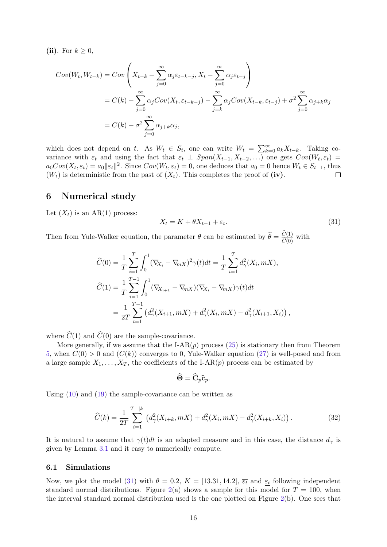(ii). For  $k \geq 0$ ,

$$
Cov(W_t, W_{t-k}) = Cov\left(X_{t-k} - \sum_{j=0}^{\infty} \alpha_j \varepsilon_{t-k-j}, X_t - \sum_{j=0}^{\infty} \alpha_j \varepsilon_{t-j}\right)
$$
  
=  $C(k) - \sum_{j=0}^{\infty} \alpha_j Cov(X_t, \varepsilon_{t-k-j}) - \sum_{j=k}^{\infty} \alpha_j Cov(X_{t-k}, \varepsilon_{t-j}) + \sigma^2 \sum_{j=0}^{\infty} \alpha_{j+k} \alpha_j$   
=  $C(k) - \sigma^2 \sum_{j=0}^{\infty} \alpha_{j+k} \alpha_j$ ,

which does not depend on t. As  $W_t \in S_t$ , one can write  $W_t = \sum_{k=0}^{\infty} a_k X_{t-k}$ . Taking covariance with  $\varepsilon_t$  and using the fact that  $\varepsilon_t \perp Span(X_{t-1}, X_{t-2}, ...)$  one gets  $Cov(W_t, \varepsilon_t)$  $a_0Cov(X_t, \varepsilon_t) = a_0 ||\varepsilon_t||^2$ . Since  $Cov(W_t, \varepsilon_t) = 0$ , one deduces that  $a_0 = 0$  hence  $W_t \in S_{t-1}$ , thus  $(W_t)$  is deterministic from the past of  $(X_t)$ . This completes the proof of (iv).

## 6 Numerical study

Let  $(X_t)$  is an AR(1) process:

$$
X_t = K + \theta X_{t-1} + \varepsilon_t. \tag{31}
$$

Then from Yule-Walker equation, the parameter  $\theta$  can be estimated by  $\hat{\theta} = \frac{C(1)}{\hat{C}(0)}$  with

$$
\widehat{C}(0) = \frac{1}{T} \sum_{i=1}^{T} \int_{0}^{1} (\nabla_{X_i} - \nabla_{mX})^2 \gamma(t) dt = \frac{1}{T} \sum_{i=1}^{T} d_{\gamma}^2(X_i, mX),
$$
  

$$
\widehat{C}(1) = \frac{1}{T} \sum_{i=1}^{T-1} \int_{0}^{1} (\nabla_{X_{i+1}} - \nabla_{mX})(\nabla_{X_i} - \nabla_{mX}) \gamma(t) dt
$$
  

$$
= \frac{1}{2T} \sum_{t=1}^{T-1} (d_{\gamma}^2(X_{i+1}, mX) + d_{\gamma}^2(X_i, mX) - d_{\gamma}^2(X_{i+1}, X_i)),
$$

where  $\widehat{C}(1)$  and  $\widehat{C}(0)$  are the sample-covariance.

More generally, if we assume that the I-AR $(p)$  process  $(25)$  is stationary then from Theorem 5, when  $C(0) > 0$  and  $(C(k))$  converges to 0, Yule-Walker equation (27) is well-posed and from a large sample  $X_1, \ldots, X_T$ , the coefficients of the I-AR(p) process can be estimated by

$$
\widehat{\boldsymbol{\Theta}} = \widehat{\mathbf{C}}_p \widehat{\mathbf{c}}_p.
$$

Using (10) and (19) the sample-covariance can be written as

$$
\widehat{C}(k) = \frac{1}{2T} \sum_{i=1}^{T-|k|} \left( d_{\gamma}^{2}(X_{i+k}, mX) + d_{\gamma}^{2}(X_{i}, mX) - d_{\gamma}^{2}(X_{i+k}, X_{i}) \right). \tag{32}
$$

It is natural to assume that  $\gamma(t)dt$  is an adapted measure and in this case, the distance  $d_{\gamma}$  is given by Lemma 3.1 and it easy to numerically compute.

#### 6.1 Simulations

Now, we plot the model (31) with  $\theta = 0.2$ ,  $K = [13.31, 14.2]$ ,  $\overline{\varepsilon_t}$  and  $\varepsilon_t$  following independent standard normal distributions. Figure 2(a) shows a sample for this model for  $T = 100$ , when the interval standard normal distribution used is the one plotted on Figure 2(b). One sees that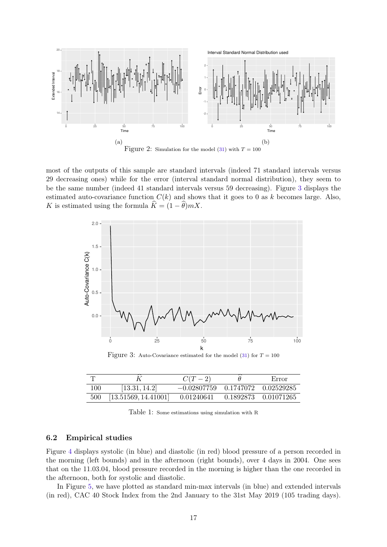

most of the outputs of this sample are standard intervals (indeed 71 standard intervals versus 29 decreasing ones) while for the error (interval standard normal distribution), they seem to be the same number (indeed 41 standard intervals versus 59 decreasing). Figure 3 displays the estimated auto-covariance function  $C(k)$  and shows that it goes to 0 as k becomes large. Also, K is estimated using the formula  $\hat{K} = (1 - \hat{\theta})mX$ .



Figure 3: Auto-Covariance estimated for the model (31) for  $T = 100$ 

|     |                          | $C(T-2)$                               | Error                |
|-----|--------------------------|----------------------------------------|----------------------|
| 100 | [13.31, 14.2]            | $-0.02807759$ $0.1747072$ $0.02529285$ |                      |
|     | 500 [13.51569, 14.41001] | 0.01240641                             | 0.1892873 0.01071265 |

Table 1: Some estimations using simulation with R

### 6.2 Empirical studies

Figure 4 displays systolic (in blue) and diastolic (in red) blood pressure of a person recorded in the morning (left bounds) and in the afternoon (right bounds), over 4 days in 2004. One sees that on the 11.03.04, blood pressure recorded in the morning is higher than the one recorded in the afternoon, both for systolic and diastolic.

In Figure 5, we have plotted as standard min-max intervals (in blue) and extended intervals (in red), CAC 40 Stock Index from the 2nd January to the 31st May 2019 (105 trading days).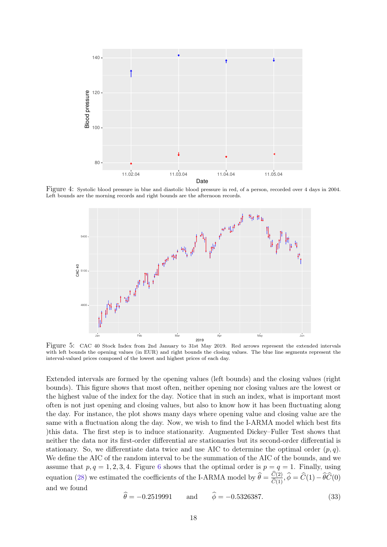

Figure 4: Systolic blood pressure in blue and diastolic blood pressure in red, of a person, recorded over 4 days in 2004. Left bounds are the morning records and right bounds are the afternoon records.



Figure 5: CAC 40 Stock Index from 2nd January to 31st May 2019. Red arrows represent the extended intervals with left bounds the opening values (in EUR) and right bounds the closing values. The blue line segments represent the interval-valued prices composed of the lowest and highest prices of each day.

Extended intervals are formed by the opening values (left bounds) and the closing values (right bounds). This figure shows that most often, neither opening nor closing values are the lowest or the highest value of the index for the day. Notice that in such an index, what is important most often is not just opening and closing values, but also to know how it has been fluctuating along the day. For instance, the plot shows many days where opening value and closing value are the same with a fluctuation along the day. Now, we wish to find the I-ARMA model which best fits )this data. The first step is to induce stationarity. Augmented Dickey–Fuller Test shows that neither the data nor its first-order differential are stationaries but its second-order differential is stationary. So, we differentiate data twice and use AIC to determine the optimal order  $(p, q)$ . We define the AIC of the random interval to be the summation of the AIC of the bounds, and we assume that  $p, q = 1, 2, 3, 4$ . Figure 6 shows that the optimal order is  $p = q = 1$ . Finally, using equation (28) we estimated the coefficients of the I-ARMA model by  $\hat{\theta} = \frac{C(2)}{\hat{C}(1)}$ ,  $\hat{\phi} = \hat{C}(1) - \hat{\theta}\hat{C}(0)$ and we found

$$
\hat{\theta} = -0.2519991 \quad \text{and} \quad \hat{\phi} = -0.5326387. \tag{33}
$$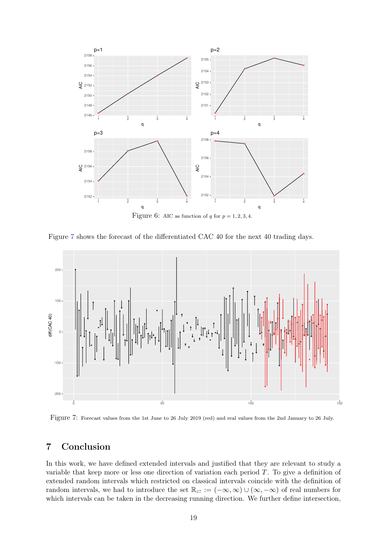

Figure 7 shows the forecast of the differentiated CAC 40 for the next 40 trading days.



Figure 7: Forecast values from the 1st June to 26 July 2019 (red) and real values from the 2nd January to 26 July.

# 7 Conclusion

In this work, we have defined extended intervals and justified that they are relevant to study a variable that keep more or less one direction of variation each period  $T$ . To give a definition of extended random intervals which restricted on classical intervals coincide with the definition of random intervals, we had to introduce the set  $\mathbb{R}_{\geq} := (-\infty, \infty) \cup (\infty, -\infty)$  of real numbers for which intervals can be taken in the decreasing running direction. We further define intersection,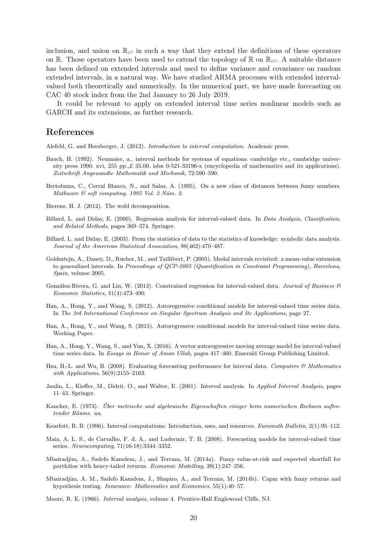inclusion, and union on  $\mathbb{R}_{\geq}$  in such a way that they extend the definitions of these operators on R. Those operators have been used to extend the topology of R on  $\mathbb{R}_{\geq}$ . A suitable distance has been defined on extended intervals and used to define variance and covariance on random extended intervals, in a natural way. We have studied ARMA processes with extended intervalvalued both theoretically and numerically. In the numerical part, we have made forecasting on CAC 40 stock index from the 2nd January to 26 July 2019.

It could be relevant to apply on extended interval time series nonlinear models such as GARCH and its extensions, as further research.

## References

Alefeld, G. and Herzberger, J. (2012). Introduction to interval computation. Academic press.

- Bauch, H. (1992). Neumaier, a., interval methods for systems of equations. cambridge etc., cambridge university press 1990. xvi, 255 pp.,£ 35.00. isbn 0-521-33196-x (encyclopedia of mathematics and its applications). Zeitschrift Angewandte Mathematik und Mechanik, 72:590–590.
- Bertoluzza, C., Corral Blanco, N., and Salas, A. (1995). On a new class of distances between fuzzy numbers. Mathware & soft computing. 1995 Vol. 2 Núm. 2.
- Bierens, H. J. (2012). The wold decomposition.
- Billard, L. and Diday, E. (2000). Regression analysis for interval-valued data. In Data Analysis, Classification, and Related Methods, pages 369–374. Springer.
- Billard, L. and Diday, E. (2003). From the statistics of data to the statistics of knowledge: symbolic data analysis. Journal of the American Statistical Association, 98(462):470–487.
- Goldsztejn, A., Daney, D., Rueher, M., and Taillibert, P. (2005). Modal intervals revisited: a mean-value extension to generalized intervals. In Proceedings of QCP-2005 (Quantification in Constraint Programming), Barcelona, Spain, volume 2005.
- González-Rivera, G. and Lin, W. (2013). Constrained regression for interval-valued data. Journal of Business  $\mathcal{B}$ Economic Statistics, 31(4):473–490.
- Han, A., Hong, Y., and Wang, S. (2012). Autoregressive conditional models for interval-valued time series data. In The 3rd International Conference on Singular Spectrum Analysis and Its Applications, page 27.
- Han, A., Hong, Y., and Wang, S. (2015). Autoregressive conditional models for interval-valued time series data. Working Paper.
- Han, A., Hong, Y., Wang, S., and Yun, X. (2016). A vector autoregressive moving average model for interval-valued time series data. In Essays in Honor of Aman Ullah, pages 417-460. Emerald Group Publishing Limited.
- Hsu, H.-L. and Wu, B. (2008). Evaluating forecasting performance for interval data. Computers & Mathematics with *Applications*, 56(9):2155-2163.
- Jaulin, L., Kieffer, M., Didrit, O., and Walter, E. (2001). Interval analysis. In Applied Interval Analysis, pages 11–43. Springer.
- Kaucher, E. (1973). Über metrische und algebraische Eigenschaften einiger beim numerischen Rechnen auftretender Räume. na.
- Kearfott, R. B. (1996). Interval computations: Introduction, uses, and resources. Euromath Bulletin, 2(1):95–112.
- Maia, A. L. S., de Carvalho, F. d. A., and Ludermir, T. B. (2008). Forecasting models for interval-valued time series. Neurocomputing, 71(16-18):3344–3352.
- Mbairadjim, A., Sadefo Kamdem, J., and Terraza, M. (2014a). Fuzzy value-at-risk and expected shortfall for portfolios with heavy-tailed returns. Economic Modelling, 39(1):247–256.
- Mbairadjim, A. M., Sadefo Kamdem, J., Shapiro, A., and Terraza, M. (2014b). Capm with fuzzy returns and hypothesis testing. Insurance: Mathematics and Economics, 55(1):40–57.

Moore, R. E. (1966). Interval analysis, volume 4. Prentice-Hall Englewood Cliffs, NJ.